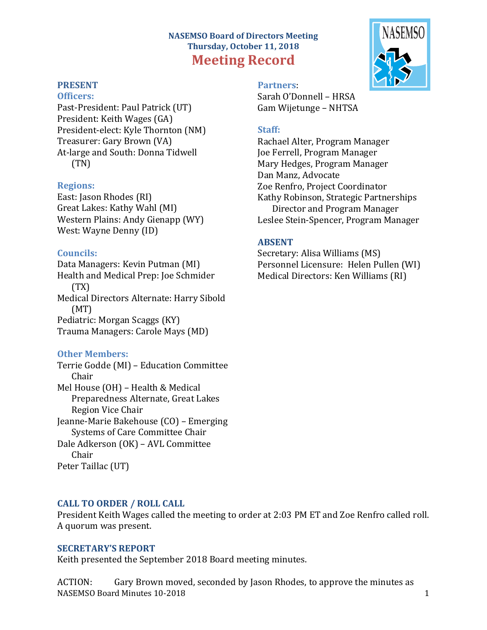# **NASEMSO Board of Directors Meeting Thursday, October 11, 2018 Meeting Record**

# **PRESENT**

#### **Officers:**

Past-President: Paul Patrick (UT) President: Keith Wages (GA) President-elect: Kyle Thornton (NM) Treasurer: Gary Brown (VA) At-large and South: Donna Tidwell (TN)

#### **Regions:**

East: Jason Rhodes (RI) Great Lakes: Kathy Wahl (MI) Western Plains: Andy Gienapp (WY) West: Wayne Denny (ID)

#### **Councils:**

Data Managers: Kevin Putman (MI) Health and Medical Prep: Joe Schmider (TX) Medical Directors Alternate: Harry Sibold (MT) Pediatric: Morgan Scaggs (KY) Trauma Managers: Carole Mays (MD)

### **Other Members:**

Terrie Godde (MI) – Education Committee Chair Mel House (OH) – Health & Medical Preparedness Alternate, Great Lakes Region Vice Chair Jeanne-Marie Bakehouse (CO) – Emerging Systems of Care Committee Chair Dale Adkerson (OK) – AVL Committee Chair Peter Taillac (UT)

## **CALL TO ORDER / ROLL CALL**

President Keith Wages called the meeting to order at 2:03 PM ET and Zoe Renfro called roll. A quorum was present.

#### **SECRETARY'S REPORT**

Keith presented the September 2018 Board meeting minutes.

NASEMSO Board Minutes 10-2018 1 ACTION: Gary Brown moved, seconded by Jason Rhodes, to approve the minutes as



# **Partners**: Sarah O'Donnell – HRSA

Gam Wijetunge – NHTSA

#### **Staff:**

Rachael Alter, Program Manager Joe Ferrell, Program Manager Mary Hedges, Program Manager Dan Manz, Advocate Zoe Renfro, Project Coordinator Kathy Robinson, Strategic Partnerships Director and Program Manager Leslee Stein-Spencer, Program Manager

#### **ABSENT**

Secretary: Alisa Williams (MS) Personnel Licensure: Helen Pullen (WI) Medical Directors: Ken Williams (RI)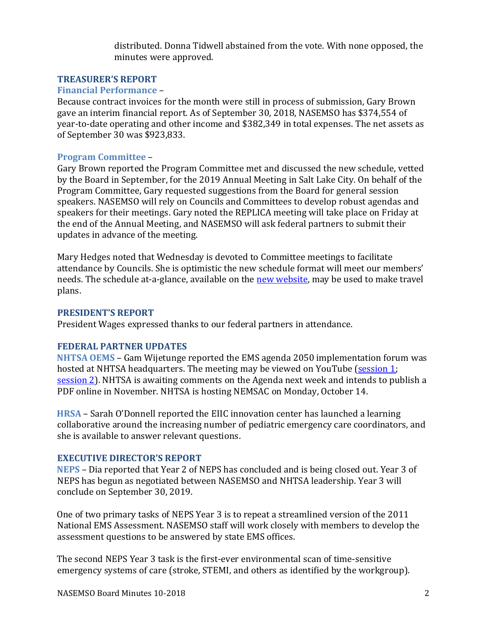distributed. Donna Tidwell abstained from the vote. With none opposed, the minutes were approved.

# **TREASURER'S REPORT**

### **Financial Performance** –

Because contract invoices for the month were still in process of submission, Gary Brown gave an interim financial report. As of September 30, 2018, NASEMSO has \$374,554 of year-to-date operating and other income and \$382,349 in total expenses. The net assets as of September 30 was \$923,833.

## **Program Committee** –

Gary Brown reported the Program Committee met and discussed the new schedule, vetted by the Board in September, for the 2019 Annual Meeting in Salt Lake City. On behalf of the Program Committee, Gary requested suggestions from the Board for general session speakers. NASEMSO will rely on Councils and Committees to develop robust agendas and speakers for their meetings. Gary noted the REPLICA meeting will take place on Friday at the end of the Annual Meeting, and NASEMSO will ask federal partners to submit their updates in advance of the meeting.

Mary Hedges noted that Wednesday is devoted to Committee meetings to facilitate attendance by Councils. She is optimistic the new schedule format will meet our members' needs. The schedule at-a-glance, available on the [new website, may be us](https://nasemso.org/news-events/events/event/annual-meeting-2019/)ed to make travel plans.

### **PRESIDENT'S REPORT**

President Wages expressed thanks to our federal partners in attendance.

## **FEDERAL PARTNER UPDATES**

**NHTSA OEMS** – Gam Wijetunge reported the EMS agenda 2050 implementation forum was hosted at NHTSA headquarters. The meeting may be viewed on YouTube [\(session 1;](https://youtu.be/1n0cAGvV8lY) [session 2\). NHTSA](https://youtu.be/DajL-_KUzBI) is awaiting comments on the Agenda next week and intends to publish a PDF online in November. NHTSA is hosting NEMSAC on Monday, October 14.

**HRSA** – Sarah O'Donnell reported the EIIC innovation center has launched a learning collaborative around the increasing number of pediatric emergency care coordinators, and she is available to answer relevant questions.

### **EXECUTIVE DIRECTOR'S REPORT**

**NEPS** – Dia reported that Year 2 of NEPS has concluded and is being closed out. Year 3 of NEPS has begun as negotiated between NASEMSO and NHTSA leadership. Year 3 will conclude on September 30, 2019.

One of two primary tasks of NEPS Year 3 is to repeat a streamlined version of the 2011 National EMS Assessment. NASEMSO staff will work closely with members to develop the assessment questions to be answered by state EMS offices.

The second NEPS Year 3 task is the first-ever environmental scan of time-sensitive emergency systems of care (stroke, STEMI, and others as identified by the workgroup).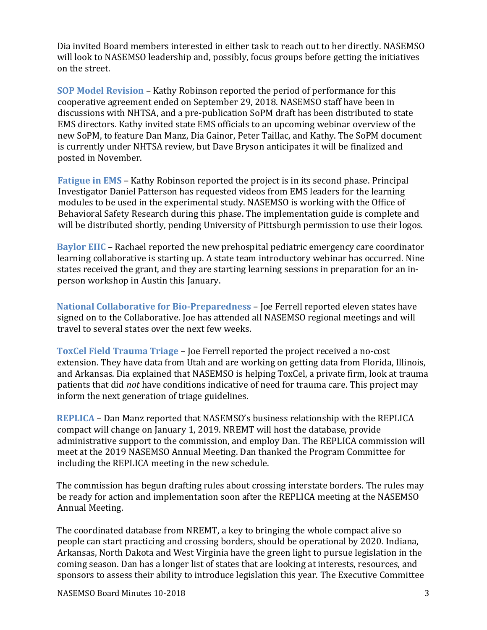Dia invited Board members interested in either task to reach out to her directly. NASEMSO will look to NASEMSO leadership and, possibly, focus groups before getting the initiatives on the street.

**SOP Model Revision** – Kathy Robinson reported the period of performance for this cooperative agreement ended on September 29, 2018. NASEMSO staff have been in discussions with NHTSA, and a pre-publication SoPM draft has been distributed to state EMS directors. Kathy invited state EMS officials to an upcoming webinar overview of the new SoPM, to feature Dan Manz, Dia Gainor, Peter Taillac, and Kathy. The SoPM document is currently under NHTSA review, but Dave Bryson anticipates it will be finalized and posted in November.

**Fatigue in EMS** – Kathy Robinson reported the project is in its second phase. Principal Investigator Daniel Patterson has requested videos from EMS leaders for the learning modules to be used in the experimental study. NASEMSO is working with the Office of Behavioral Safety Research during this phase. The implementation guide is complete and will be distributed shortly, pending University of Pittsburgh permission to use their logos.

**Baylor EIIC** – Rachael reported the new prehospital pediatric emergency care coordinator learning collaborative is starting up. A state team introductory webinar has occurred. Nine states received the grant, and they are starting learning sessions in preparation for an inperson workshop in Austin this January.

**National Collaborative for Bio-Preparedness** – Joe Ferrell reported eleven states have signed on to the Collaborative. Joe has attended all NASEMSO regional meetings and will travel to several states over the next few weeks.

**ToxCel Field Trauma Triage** – Joe Ferrell reported the project received a no-cost extension. They have data from Utah and are working on getting data from Florida, Illinois, and Arkansas. Dia explained that NASEMSO is helping ToxCel, a private firm, look at trauma patients that did *not* have conditions indicative of need for trauma care. This project may inform the next generation of triage guidelines.

**REPLICA** – Dan Manz reported that NASEMSO's business relationship with the REPLICA compact will change on January 1, 2019. NREMT will host the database, provide administrative support to the commission, and employ Dan. The REPLICA commission will meet at the 2019 NASEMSO Annual Meeting. Dan thanked the Program Committee for including the REPLICA meeting in the new schedule.

The commission has begun drafting rules about crossing interstate borders. The rules may be ready for action and implementation soon after the REPLICA meeting at the NASEMSO Annual Meeting.

The coordinated database from NREMT, a key to bringing the whole compact alive so people can start practicing and crossing borders, should be operational by 2020. Indiana, Arkansas, North Dakota and West Virginia have the green light to pursue legislation in the coming season. Dan has a longer list of states that are looking at interests, resources, and sponsors to assess their ability to introduce legislation this year. The Executive Committee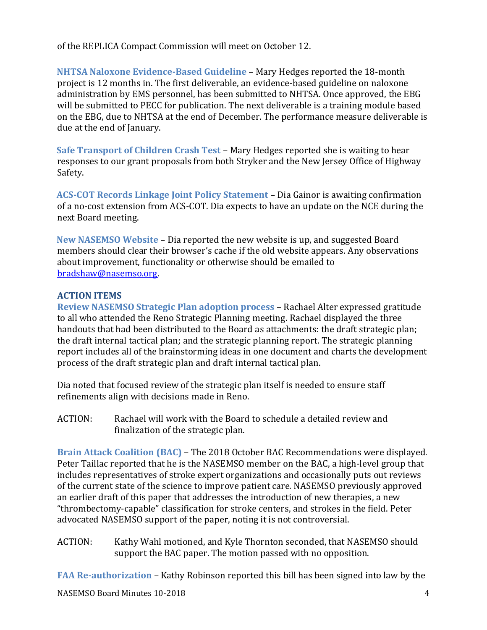of the REPLICA Compact Commission will meet on October 12.

**NHTSA Naloxone Evidence-Based Guideline** – Mary Hedges reported the 18-month project is 12 months in. The first deliverable, an evidence-based guideline on naloxone administration by EMS personnel, has been submitted to NHTSA. Once approved, the EBG will be submitted to PECC for publication. The next deliverable is a training module based on the EBG, due to NHTSA at the end of December. The performance measure deliverable is due at the end of January.

**Safe Transport of Children Crash Test** – Mary Hedges reported she is waiting to hear responses to our grant proposals from both Stryker and the New Jersey Office of Highway Safety.

**ACS-COT Records Linkage Joint Policy Statement** – Dia Gainor is awaiting confirmation of a no-cost extension from ACS-COT. Dia expects to have an update on the NCE during the next Board meeting.

**New NASEMSO Website** – Dia reported the new website is up, and suggested Board members should clear their browser's cache if the old website appears. Any observations about improvement, functionality or otherwise should be emailed to [bradshaw@nasemso.org.](mailto:bradshaw@nasemso.org)

## **[ACTION ITEMS](mailto:bradshaw@nasemso.org)**

**[Revi](mailto:bradshaw@nasemso.org)ew NASEMSO Strategic Plan adoption process** – Rachael Alter expressed gratitude to all who attended the Reno Strategic Planning meeting. Rachael displayed the three handouts that had been distributed to the Board as attachments: the draft strategic plan; the draft internal tactical plan; and the strategic planning report. The strategic planning report includes all of the brainstorming ideas in one document and charts the development process of the draft strategic plan and draft internal tactical plan.

Dia noted that focused review of the strategic plan itself is needed to ensure staff refinements align with decisions made in Reno.

ACTION: Rachael will work with the Board to schedule a detailed review and finalization of the strategic plan.

**Brain Attack Coalition (BAC)** – The 2018 October BAC Recommendations were displayed. Peter Taillac reported that he is the NASEMSO member on the BAC, a high-level group that includes representatives of stroke expert organizations and occasionally puts out reviews of the current state of the science to improve patient care. NASEMSO previously approved an earlier draft of this paper that addresses the introduction of new therapies, a new "thrombectomy-capable" classification for stroke centers, and strokes in the field. Peter advocated NASEMSO support of the paper, noting it is not controversial.

ACTION: Kathy Wahl motioned, and Kyle Thornton seconded, that NASEMSO should support the BAC paper. The motion passed with no opposition.

**FAA Re-authorization** – Kathy Robinson reported this bill has been signed into law by the